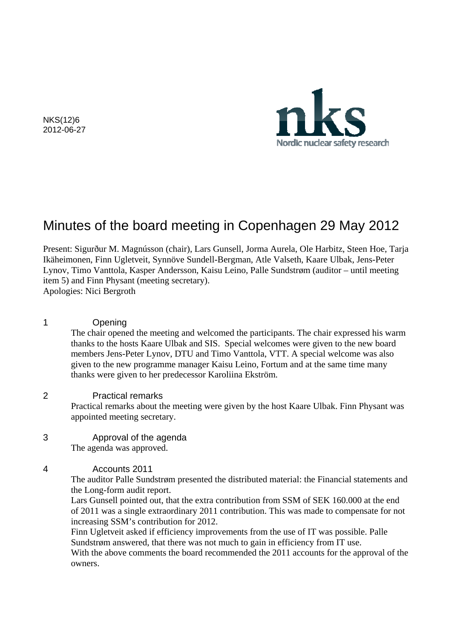Nordic nuclear safety research

NKS(12)6 2012-06-27

# Minutes of the board meeting in Copenhagen 29 May 2012

Present: Sigurður M. Magnússon (chair), Lars Gunsell, Jorma Aurela, Ole Harbitz, Steen Hoe, Tarja Ikäheimonen, Finn Ugletveit, Synnöve Sundell-Bergman, Atle Valseth, Kaare Ulbak, Jens-Peter Lynov, Timo Vanttola, Kasper Andersson, Kaisu Leino, Palle Sundstrøm (auditor – until meeting item 5) and Finn Physant (meeting secretary).

Apologies: Nici Bergroth

## 1 Opening

The chair opened the meeting and welcomed the participants. The chair expressed his warm thanks to the hosts Kaare Ulbak and SIS. Special welcomes were given to the new board members Jens-Peter Lynov, DTU and Timo Vanttola, VTT. A special welcome was also given to the new programme manager Kaisu Leino, Fortum and at the same time many thanks were given to her predecessor Karoliina Ekström.

## 2 Practical remarks

Practical remarks about the meeting were given by the host Kaare Ulbak. Finn Physant was appointed meeting secretary.

3 Approval of the agenda

The agenda was approved.

## 4 Accounts 2011

The auditor Palle Sundstrøm presented the distributed material: the Financial statements and the Long-form audit report.

Lars Gunsell pointed out, that the extra contribution from SSM of SEK 160.000 at the end of 2011 was a single extraordinary 2011 contribution. This was made to compensate for not increasing SSM's contribution for 2012.

Finn Ugletveit asked if efficiency improvements from the use of IT was possible. Palle Sundstrøm answered, that there was not much to gain in efficiency from IT use.

With the above comments the board recommended the 2011 accounts for the approval of the owners.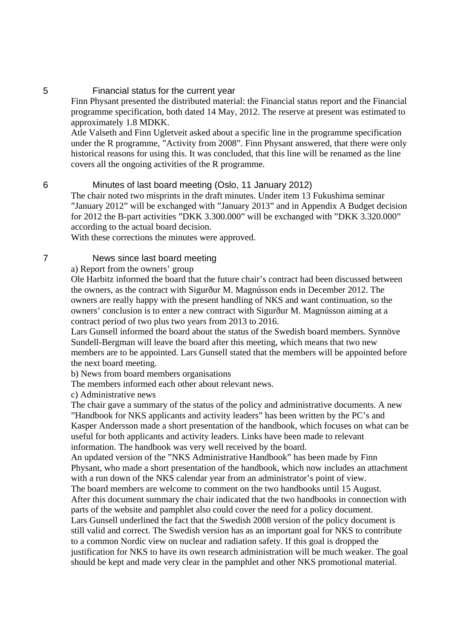# 5 Financial status for the current year

Finn Physant presented the distributed material: the Financial status report and the Financial programme specification, both dated 14 May, 2012. The reserve at present was estimated to approximately 1.8 MDKK.

Atle Valseth and Finn Ugletveit asked about a specific line in the programme specification under the R programme, "Activity from 2008". Finn Physant answered, that there were only historical reasons for using this. It was concluded, that this line will be renamed as the line covers all the ongoing activities of the R programme.

#### 6 Minutes of last board meeting (Oslo, 11 January 2012)

The chair noted two misprints in the draft minutes. Under item 13 Fukushima seminar "January 2012" will be exchanged with "January 2013" and in Appendix A Budget decision for 2012 the B-part activities "DKK 3.300.000" will be exchanged with "DKK 3.320.000" according to the actual board decision.

With these corrections the minutes were approved.

## 7 News since last board meeting

a) Report from the owners' group

Ole Harbitz informed the board that the future chair's contract had been discussed between the owners, as the contract with Sigurður M. Magnússon ends in December 2012. The owners are really happy with the present handling of NKS and want continuation, so the owners' conclusion is to enter a new contract with Sigurður M. Magnússon aiming at a contract period of two plus two years from 2013 to 2016.

Lars Gunsell informed the board about the status of the Swedish board members. Synnöve Sundell-Bergman will leave the board after this meeting, which means that two new members are to be appointed. Lars Gunsell stated that the members will be appointed before the next board meeting.

b) News from board members organisations

The members informed each other about relevant news.

c) Administrative news

The chair gave a summary of the status of the policy and administrative documents. A new "Handbook for NKS applicants and activity leaders" has been written by the PC's and Kasper Andersson made a short presentation of the handbook, which focuses on what can be useful for both applicants and activity leaders. Links have been made to relevant information. The handbook was very well received by the board.

An updated version of the "NKS Administrative Handbook" has been made by Finn Physant, who made a short presentation of the handbook, which now includes an attachment with a run down of the NKS calendar year from an administrator's point of view.

The board members are welcome to comment on the two handbooks until 15 August. After this document summary the chair indicated that the two handbooks in connection with parts of the website and pamphlet also could cover the need for a policy document. Lars Gunsell underlined the fact that the Swedish 2008 version of the policy document is

still valid and correct. The Swedish version has as an important goal for NKS to contribute to a common Nordic view on nuclear and radiation safety. If this goal is dropped the justification for NKS to have its own research administration will be much weaker. The goal should be kept and made very clear in the pamphlet and other NKS promotional material.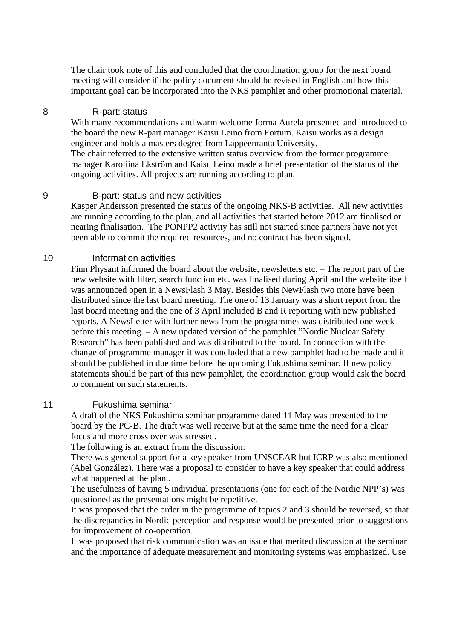The chair took note of this and concluded that the coordination group for the next board meeting will consider if the policy document should be revised in English and how this important goal can be incorporated into the NKS pamphlet and other promotional material.

#### 8 R-part: status

With many recommendations and warm welcome Jorma Aurela presented and introduced to the board the new R-part manager Kaisu Leino from Fortum. Kaisu works as a design engineer and holds a masters degree from Lappeenranta University. The chair referred to the extensive written status overview from the former programme manager Karoliina Ekström and Kaisu Leino made a brief presentation of the status of the ongoing activities. All projects are running according to plan.

## 9 B-part: status and new activities

Kasper Andersson presented the status of the ongoing NKS-B activities. All new activities are running according to the plan, and all activities that started before 2012 are finalised or nearing finalisation. The PONPP2 activity has still not started since partners have not yet been able to commit the required resources, and no contract has been signed.

#### 10 Information activities

Finn Physant informed the board about the website, newsletters etc. – The report part of the new website with filter, search function etc. was finalised during April and the website itself was announced open in a NewsFlash 3 May. Besides this NewFlash two more have been distributed since the last board meeting. The one of 13 January was a short report from the last board meeting and the one of 3 April included B and R reporting with new published reports. A NewsLetter with further news from the programmes was distributed one week before this meeting. – A new updated version of the pamphlet "Nordic Nuclear Safety Research" has been published and was distributed to the board. In connection with the change of programme manager it was concluded that a new pamphlet had to be made and it should be published in due time before the upcoming Fukushima seminar. If new policy statements should be part of this new pamphlet, the coordination group would ask the board to comment on such statements.

## 11 Fukushima seminar

A draft of the NKS Fukushima seminar programme dated 11 May was presented to the board by the PC-B. The draft was well receive but at the same time the need for a clear focus and more cross over was stressed.

The following is an extract from the discussion:

There was general support for a key speaker from UNSCEAR but ICRP was also mentioned (Abel González). There was a proposal to consider to have a key speaker that could address what happened at the plant.

The usefulness of having 5 individual presentations (one for each of the Nordic NPP's) was questioned as the presentations might be repetitive.

It was proposed that the order in the programme of topics 2 and 3 should be reversed, so that the discrepancies in Nordic perception and response would be presented prior to suggestions for improvement of co-operation.

It was proposed that risk communication was an issue that merited discussion at the seminar and the importance of adequate measurement and monitoring systems was emphasized. Use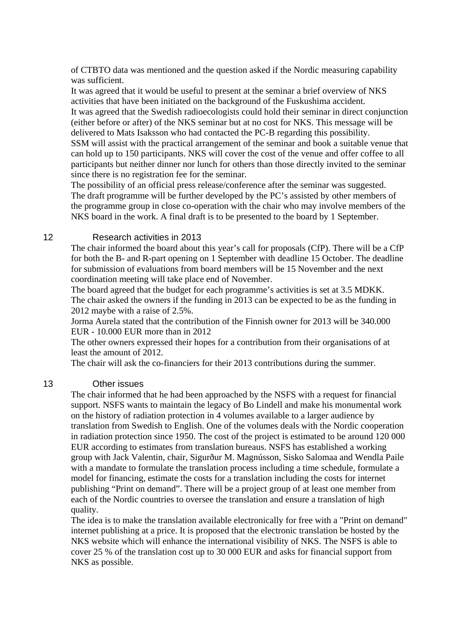of CTBTO data was mentioned and the question asked if the Nordic measuring capability was sufficient.

It was agreed that it would be useful to present at the seminar a brief overview of NKS activities that have been initiated on the background of the Fuskushima accident. It was agreed that the Swedish radioecologists could hold their seminar in direct conjunction (either before or after) of the NKS seminar but at no cost for NKS. This message will be delivered to Mats Isaksson who had contacted the PC-B regarding this possibility.

SSM will assist with the practical arrangement of the seminar and book a suitable venue that can hold up to 150 participants. NKS will cover the cost of the venue and offer coffee to all participants but neither dinner nor lunch for others than those directly invited to the seminar since there is no registration fee for the seminar.

The possibility of an official press release/conference after the seminar was suggested. The draft programme will be further developed by the PC's assisted by other members of the programme group in close co-operation with the chair who may involve members of the NKS board in the work. A final draft is to be presented to the board by 1 September.

#### 12 Research activities in 2013

The chair informed the board about this year's call for proposals (CfP). There will be a CfP for both the B- and R-part opening on 1 September with deadline 15 October. The deadline for submission of evaluations from board members will be 15 November and the next coordination meeting will take place end of November.

The board agreed that the budget for each programme's activities is set at 3.5 MDKK. The chair asked the owners if the funding in 2013 can be expected to be as the funding in 2012 maybe with a raise of 2.5%.

Jorma Aurela stated that the contribution of the Finnish owner for 2013 will be 340.000 EUR - 10.000 EUR more than in 2012

The other owners expressed their hopes for a contribution from their organisations of at least the amount of 2012.

The chair will ask the co-financiers for their 2013 contributions during the summer.

#### 13 Other issues

The chair informed that he had been approached by the NSFS with a request for financial support. NSFS wants to maintain the legacy of Bo Lindell and make his monumental work on the history of radiation protection in 4 volumes available to a larger audience by translation from Swedish to English. One of the volumes deals with the Nordic cooperation in radiation protection since 1950. The cost of the project is estimated to be around 120 000 EUR according to estimates from translation bureaus. NSFS has established a working group with Jack Valentin, chair, Sigurður M. Magnússon, Sisko Salomaa and Wendla Paile with a mandate to formulate the translation process including a time schedule, formulate a model for financing, estimate the costs for a translation including the costs for internet publishing "Print on demand". There will be a project group of at least one member from each of the Nordic countries to oversee the translation and ensure a translation of high quality.

The idea is to make the translation available electronically for free with a "Print on demand" internet publishing at a price. It is proposed that the electronic translation be hosted by the NKS website which will enhance the international visibility of NKS. The NSFS is able to cover 25 % of the translation cost up to 30 000 EUR and asks for financial support from NKS as possible.